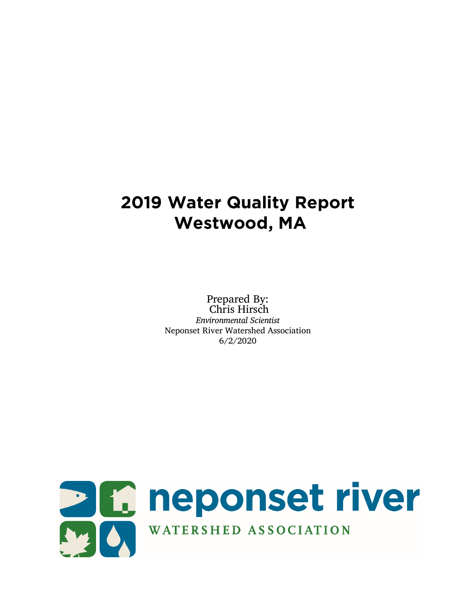# **2019 Water Quality Report Westwood, MA**

Prepared By: Chris Hirsch *Environmental Scientist* Neponset River Watershed Association 6/2/2020

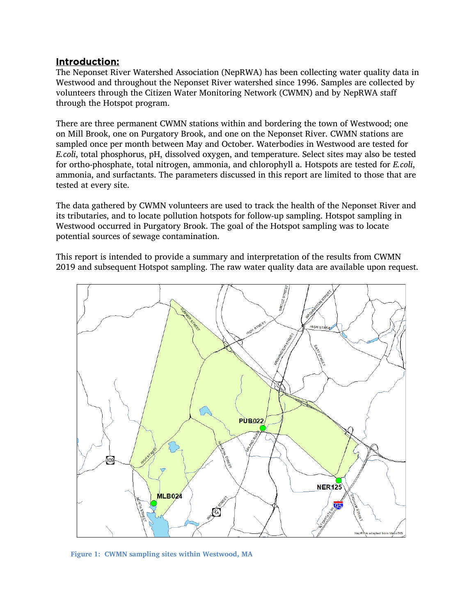#### Introduction:

The Neponset River Watershed Association (NepRWA) has been collecting water quality data in Westwood and throughout the Neponset River watershed since 1996. Samples are collected by volunteers through the Citizen Water Monitoring Network (CWMN) and by NepRWA staff through the Hotspot program.

There are three permanent CWMN stations within and bordering the town of Westwood; one on Mill Brook, one on Purgatory Brook, and one on the Neponset River. CWMN stations are sampled once per month between May and October. Waterbodies in Westwood are tested for *E.coli*, total phosphorus, pH, dissolved oxygen, and temperature. Select sites may also be tested for ortho-phosphate, total nitrogen, ammonia, and chlorophyll a. Hotspots are tested for *E.coli*, ammonia, and surfactants. The parameters discussed in this report are limited to those that are tested at every site.

The data gathered by CWMN volunteers are used to track the health of the Neponset River and its tributaries, and to locate pollution hotspots for follow-up sampling. Hotspot sampling in Westwood occurred in Purgatory Brook. The goal of the Hotspot sampling was to locate potential sources of sewage contamination.

This report is intended to provide a summary and interpretation of the results from CWMN 2019 and subsequent Hotspot sampling. The raw water quality data are available upon request.



**Figure 1: CWMN sampling sites within Westwood, MA**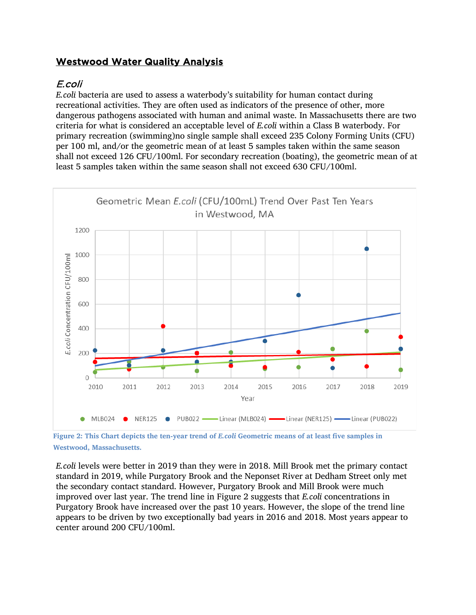# Westwood Water Quality Analysis

## E.coli

*E.coli* bacteria are used to assess a waterbody's suitability for human contact during recreational activities. They are often used as indicators of the presence of other, more dangerous pathogens associated with human and animal waste. In Massachusetts there are two criteria for what is considered an acceptable level of *E.coli* within a Class B waterbody. For primary recreation (swimming)no single sample shall exceed 235 Colony Forming Units (CFU) per 100 ml, and/or the geometric mean of at least 5 samples taken within the same season shall not exceed 126 CFU/100ml. For secondary recreation (boating), the geometric mean of at least 5 samples taken within the same season shall not exceed 630 CFU/100ml.



**Figure 2: This Chart depicts the ten-year trend of** *E.coli* **Geometric means of at least five samples in Westwood, Massachusetts.** 

*E.coli* levels were better in 2019 than they were in 2018. Mill Brook met the primary contact standard in 2019, while Purgatory Brook and the Neponset River at Dedham Street only met the secondary contact standard. However, Purgatory Brook and Mill Brook were much improved over last year. The trend line in Figure 2 suggests that *E.coli* concentrations in Purgatory Brook have increased over the past 10 years. However, the slope of the trend line appears to be driven by two exceptionally bad years in 2016 and 2018. Most years appear to center around 200 CFU/100ml.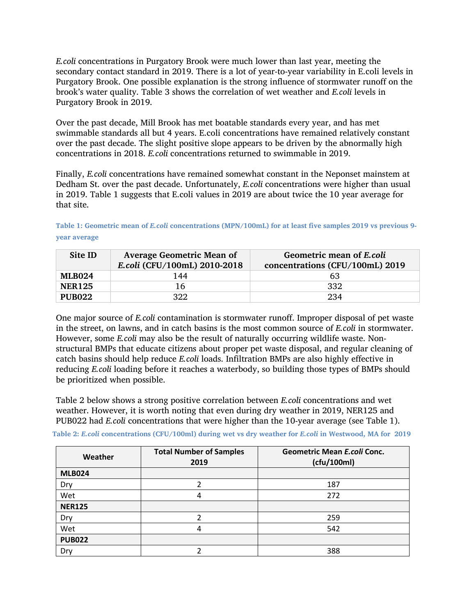*E.coli* concentrations in Purgatory Brook were much lower than last year, meeting the secondary contact standard in 2019. There is a lot of year-to-year variability in E.coli levels in Purgatory Brook. One possible explanation is the strong influence of stormwater runoff on the brook's water quality. Table 3 shows the correlation of wet weather and *E.coli* levels in Purgatory Brook in 2019.

Over the past decade, Mill Brook has met boatable standards every year, and has met swimmable standards all but 4 years. E.coli concentrations have remained relatively constant over the past decade. The slight positive slope appears to be driven by the abnormally high concentrations in 2018. *E.coli* concentrations returned to swimmable in 2019.

Finally, *E.coli* concentrations have remained somewhat constant in the Neponset mainstem at Dedham St. over the past decade. Unfortunately, *E.coli* concentrations were higher than usual in 2019. Table 1 suggests that E.coli values in 2019 are about twice the 10 year average for that site.

**Table 1: Geometric mean of** *E.coli* **concentrations (MPN/100mL) for at least five samples 2019 vs previous 9 year average**

| Site ID       | <b>Average Geometric Mean of</b><br>E.coli (CFU/100mL) 2010-2018 | Geometric mean of E.coli<br>concentrations (CFU/100mL) 2019 |
|---------------|------------------------------------------------------------------|-------------------------------------------------------------|
| <b>MLB024</b> | 144                                                              | 63                                                          |
| <b>NER125</b> | 16                                                               | -332                                                        |
| <b>PUB022</b> | 322                                                              | 234                                                         |

One major source of *E.coli* contamination is stormwater runoff. Improper disposal of pet waste in the street, on lawns, and in catch basins is the most common source of *E.coli* in stormwater. However, some *E.coli* may also be the result of naturally occurring wildlife waste. Nonstructural BMPs that educate citizens about proper pet waste disposal, and regular cleaning of catch basins should help reduce *E.coli* loads. Infiltration BMPs are also highly effective in reducing *E.coli* loading before it reaches a waterbody, so building those types of BMPs should be prioritized when possible.

Table 2 below shows a strong positive correlation between *E.coli* concentrations and wet weather. However, it is worth noting that even during dry weather in 2019, NER125 and PUB022 had *E.coli* concentrations that were higher than the 10-year average (see Table 1).

**Table 2:** *E.coli* **concentrations (CFU/100ml) during wet vs dry weather for** *E.coli* **in Westwood, MA for 2019**

| Weather       | <b>Total Number of Samples</b><br>2019 | <b>Geometric Mean E.coli Conc.</b><br>(cfu/100ml) |
|---------------|----------------------------------------|---------------------------------------------------|
| <b>MLB024</b> |                                        |                                                   |
| Dry           |                                        | 187                                               |
| Wet           | 4                                      | 272                                               |
| <b>NER125</b> |                                        |                                                   |
| Dry           | າ                                      | 259                                               |
| Wet           | 4                                      | 542                                               |
| <b>PUB022</b> |                                        |                                                   |
| Dry           |                                        | 388                                               |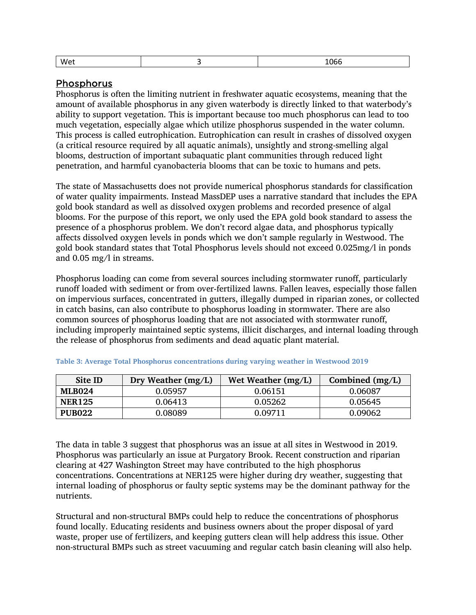| We1<br>. .<br>. .<br>---- |
|---------------------------|
|---------------------------|

#### Phosphorus

Phosphorus is often the limiting nutrient in freshwater aquatic ecosystems, meaning that the amount of available phosphorus in any given waterbody is directly linked to that waterbody's ability to support vegetation. This is important because too much phosphorus can lead to too much vegetation, especially algae which utilize phosphorus suspended in the water column. This process is called eutrophication. Eutrophication can result in crashes of dissolved oxygen (a critical resource required by all aquatic animals), unsightly and strong-smelling algal blooms, destruction of important subaquatic plant communities through reduced light penetration, and harmful cyanobacteria blooms that can be toxic to humans and pets.

The state of Massachusetts does not provide numerical phosphorus standards for classification of water quality impairments. Instead MassDEP uses a narrative standard that includes the EPA gold book standard as well as dissolved oxygen problems and recorded presence of algal blooms. For the purpose of this report, we only used the EPA gold book standard to assess the presence of a phosphorus problem. We don't record algae data, and phosphorus typically affects dissolved oxygen levels in ponds which we don't sample regularly in Westwood. The gold book standard states that Total Phosphorus levels should not exceed 0.025mg/l in ponds and 0.05 mg/l in streams.

Phosphorus loading can come from several sources including stormwater runoff, particularly runoff loaded with sediment or from over-fertilized lawns. Fallen leaves, especially those fallen on impervious surfaces, concentrated in gutters, illegally dumped in riparian zones, or collected in catch basins, can also contribute to phosphorus loading in stormwater. There are also common sources of phosphorus loading that are not associated with stormwater runoff, including improperly maintained septic systems, illicit discharges, and internal loading through the release of phosphorus from sediments and dead aquatic plant material.

| Site ID       | Dry Weather $(mg/L)$ | Wet Weather $(mg/L)$ | Combined $(mg/L)$ |
|---------------|----------------------|----------------------|-------------------|
| <b>MLB024</b> | 0.05957              | 0.06151              | 0.06087           |
| <b>NER125</b> | 0.06413              | 0.05262              | 0.05645           |
| <b>PUB022</b> | 0.08089              | 0.09711              | 0.09062           |

**Table 3: Average Total Phosphorus concentrations during varying weather in Westwood 2019**

The data in table 3 suggest that phosphorus was an issue at all sites in Westwood in 2019. Phosphorus was particularly an issue at Purgatory Brook. Recent construction and riparian clearing at 427 Washington Street may have contributed to the high phosphorus concentrations. Concentrations at NER125 were higher during dry weather, suggesting that internal loading of phosphorus or faulty septic systems may be the dominant pathway for the nutrients.

Structural and non-structural BMPs could help to reduce the concentrations of phosphorus found locally. Educating residents and business owners about the proper disposal of yard waste, proper use of fertilizers, and keeping gutters clean will help address this issue. Other non-structural BMPs such as street vacuuming and regular catch basin cleaning will also help.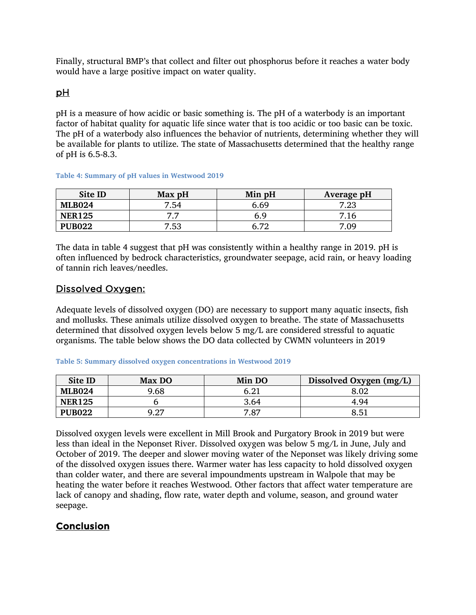Finally, structural BMP's that collect and filter out phosphorus before it reaches a water body would have a large positive impact on water quality.

#### pH

pH is a measure of how acidic or basic something is. The pH of a waterbody is an important factor of habitat quality for aquatic life since water that is too acidic or too basic can be toxic. The pH of a waterbody also influences the behavior of nutrients, determining whether they will be available for plants to utilize. The state of Massachusetts determined that the healthy range of pH is 6.5-8.3.

| <b>Site ID</b> | Max pH | Min pH | Average pH |
|----------------|--------|--------|------------|
| <b>MLB024</b>  | 7.54   | 6.69   | 7.23       |
| <b>NER125</b>  | 77     | 6.9    | 7.16       |
| <b>PUB022</b>  | 7.53   | 6 79   | 7.09       |

**Table 4: Summary of pH values in Westwood 2019**

The data in table 4 suggest that pH was consistently within a healthy range in 2019. pH is often influenced by bedrock characteristics, groundwater seepage, acid rain, or heavy loading of tannin rich leaves/needles.

#### Dissolved Oxygen:

Adequate levels of dissolved oxygen (DO) are necessary to support many aquatic insects, fish and mollusks. These animals utilize dissolved oxygen to breathe. The state of Massachusetts determined that dissolved oxygen levels below 5 mg/L are considered stressful to aquatic organisms. The table below shows the DO data collected by CWMN volunteers in 2019

#### **Table 5: Summary dissolved oxygen concentrations in Westwood 2019**

| Site ID       | Max DO | Min DO | Dissolved Oxygen (mg/L) |
|---------------|--------|--------|-------------------------|
| <b>MLB024</b> | 9.68   | 6.21   | 8.02                    |
| <b>NER125</b> |        | 3.64   | 4.94                    |
| <b>PUB022</b> | 9.27   | 7.87   | 8.51                    |

Dissolved oxygen levels were excellent in Mill Brook and Purgatory Brook in 2019 but were less than ideal in the Neponset River. Dissolved oxygen was below 5 mg/L in June, July and October of 2019. The deeper and slower moving water of the Neponset was likely driving some of the dissolved oxygen issues there. Warmer water has less capacity to hold dissolved oxygen than colder water, and there are several impoundments upstream in Walpole that may be heating the water before it reaches Westwood. Other factors that affect water temperature are lack of canopy and shading, flow rate, water depth and volume, season, and ground water seepage.

### **Conclusion**